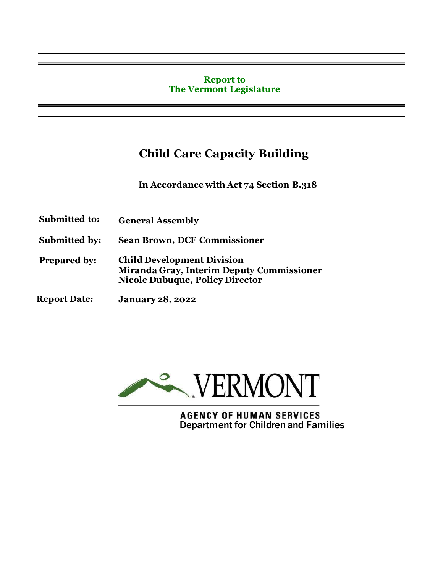#### **Report to The Vermont Legislature**

# **Child Care Capacity Building**

**In Accordance with Act 74 Section B.318**

- **Submitted to: General Assembly**
- **Submitted by: Sean Brown, DCF Commissioner**
- **Prepared by: Child Development Division Miranda Gray, Interim Deputy Commissioner Nicole Dubuque, Policy Director**
- **Report Date: January 28, 2022**



**AGENCY OF HUMAN SERVICES** Department for Children and Families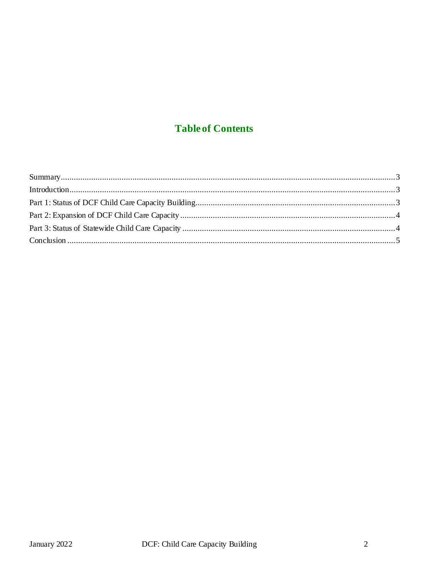## **Table of Contents**

| Introduction 33 |  |
|-----------------|--|
|                 |  |
|                 |  |
|                 |  |
|                 |  |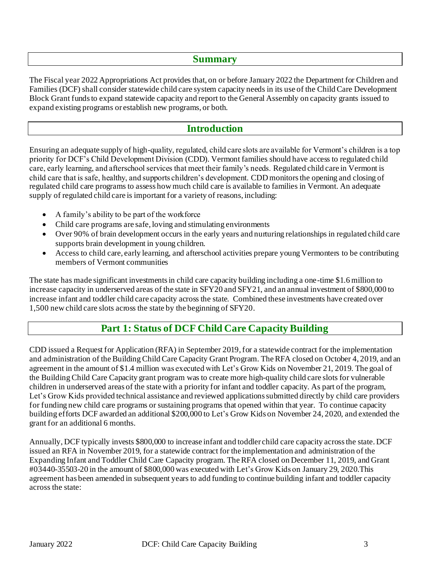#### **Summary**

The Fiscal year 2022 Appropriations Act provides that, on or before January 2022 the Department for Children and Families (DCF) shall consider statewide child care system capacity needs in its use of the Child Care Development Block Grant funds to expand statewide capacity and report to the General Assembly on capacity grants issued to expand existing programs or establish new programs, or both.

#### **Introduction**

Ensuring an adequate supply of high-quality, regulated, child care slots are available for Vermont's children is a top priority for DCF's Child Development Division (CDD). Vermont families should have access to regulated child care, early learning, and afterschool services that meet their family's needs. Regulated child care in Vermont is child care that is safe, healthy, and supports children's development. CDD monitors the opening and closing of regulated child care programs to assess how much child care is available to families in Vermont. An adequate supply of regulated child care is important for a variety of reasons, including:

- A family's ability to be part of the workforce
- Child care programs are safe, loving and stimulating environments
- Over 90% of brain development occurs in the early years and nurturing relationships in regulated child care supports brain development in young children.
- Access to child care, early learning, and afterschool activities prepare young Vermonters to be contributing members of Vermont communities

The state has made significant investments in child care capacity building including a one-time \$1.6 million to increase capacity in underserved areas of the state in SFY20 and SFY21, and an annual investment of \$800,000 to increase infant and toddler child care capacity across the state. Combined these investments have created over 1,500 new child care slots across the state by the beginning of SFY20.

### **Part 1: Status of DCF Child Care Capacity Building**

CDD issued a Request for Application (RFA) in September 2019, for a statewide contract for the implementation and administration of the Building Child Care Capacity Grant Program. The RFA closed on October 4, 2019, and an agreement in the amount of \$1.4 million was executed with Let's Grow Kids on November 21, 2019. The goal of the Building Child Care Capacity grant program was to create more high-quality child care slots for vulnerable children in underserved areas of the state with a priority for infant and toddler capacity. As part of the program, Let's Grow Kids provided technical assistance and reviewed applications submitted directly by child care providers for funding new child care programs or sustaining programs that opened within that year. To continue capacity building efforts DCF awarded an additional \$200,000 to Let's Grow Kids on November 24, 2020, and extended the grant for an additional 6 months.

Annually, DCF typically invests \$800,000 to increase infant and toddler child care capacity across the state. DCF issued an RFA in November 2019, for a statewide contract for the implementation and administration of the Expanding Infant and Toddler Child Care Capacity program. The RFA closed on December 11, 2019, and Grant #03440-35503-20 in the amount of \$800,000 was executed with Let's Grow Kids on January 29, 2020.This agreement has been amended in subsequent years to add funding to continue building infant and toddler capacity across the state: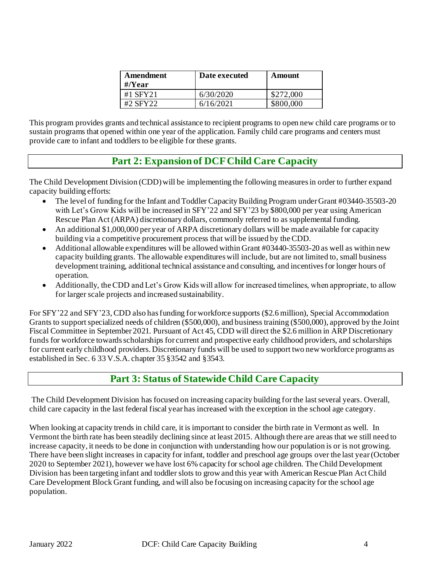| Amendment<br>$\#$ <i>N</i> ear | Date executed | Amount    |
|--------------------------------|---------------|-----------|
| #1 SFY21                       | 6/30/2020     | \$272,000 |
| #2 SFY22                       | 6/16/2021     | \$800,000 |

This program provides grants and technical assistance to recipient programs to open new child care programs or to sustain programs that opened within one year of the application. Family child care programs and centers must provide care to infant and toddlers to be eligible for these grants.

## **Part 2: Expansion of DCFChild Care Capacity**

The Child Development Division (CDD) will be implementing the following measures in order to further expand capacity building efforts:

- The level of funding for the Infant and Toddler Capacity Building Program under Grant #03440-35503-20 with Let's Grow Kids will be increased in SFY'22 and SFY'23 by \$800,000 per year using American Rescue Plan Act (ARPA) discretionary dollars, commonly referred to as supplemental funding.
- An additional \$1,000,000 per year of ARPA discretionary dollars will be made available for capacity building via a competitive procurement process that will be issued by theCDD.
- Additional allowable expenditures will be allowed within Grant #03440-35503-20 as well as within new capacity building grants. The allowable expenditures will include, but are not limited to, small business development training, additional technical assistance and consulting, and incentives for longer hours of operation.
- Additionally, the CDD and Let's Grow Kids will allow for increased timelines, when appropriate, to allow for larger scale projects and increased sustainability.

For SFY'22 and SFY'23, CDD also has funding for workforce supports (\$2.6 million), Special Accommodation Grants to support specialized needs of children (\$500,000), and business training (\$500,000), approved by the Joint Fiscal Committee in September 2021. Pursuant of Act 45, CDD will direct the \$2.6 million in ARP Discretionary funds for workforce towards scholarships for current and prospective early childhood providers, and scholarships for current early childhood providers. Discretionary funds will be used to support two new workforce programs as established in Sec. 6 33 V.S.A. chapter 35 §3542 and §3543.

## **Part 3: Status of Statewide Child Care Capacity**

The Child Development Division has focused on increasing capacity building for the last several years. Overall, child care capacity in the last federal fiscal year has increased with the exception in the school age category.

When looking at capacity trends in child care, it is important to consider the birth rate in Vermont as well. In Vermont the birth rate has been steadily declining since at least 2015. Although there are areas that we still need to increase capacity, it needs to be done in conjunction with understanding how our population is or is not growing. There have been slight increases in capacity for infant, toddler and preschool age groups over the last year (October 2020 to September 2021), however we have lost 6% capacity for school age children. The Child Development Division has been targeting infant and toddler slots to grow and this year with American Rescue Plan Act Child Care Development Block Grant funding, and will also be focusing on increasing capacity for the school age population.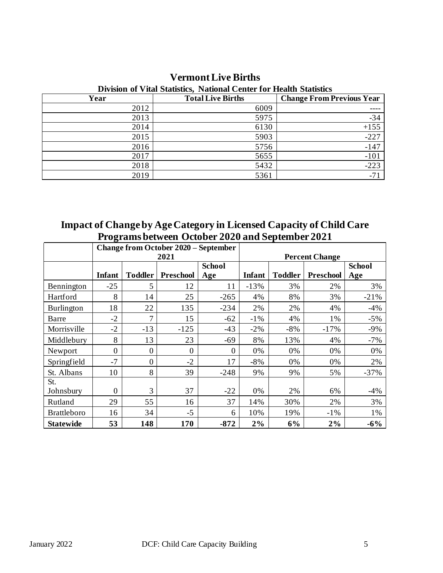| Division of vital statistics, Fraudital Center for Health Statistics |                          |                                  |  |  |  |  |  |
|----------------------------------------------------------------------|--------------------------|----------------------------------|--|--|--|--|--|
| Year                                                                 | <b>Total Live Births</b> | <b>Change From Previous Year</b> |  |  |  |  |  |
| 2012                                                                 | 6009                     |                                  |  |  |  |  |  |
| 2013                                                                 | 5975                     | $-34$                            |  |  |  |  |  |
| 2014                                                                 | 6130                     | $+155$                           |  |  |  |  |  |
| 2015                                                                 | 5903                     | $-227$                           |  |  |  |  |  |
| 2016                                                                 | 5756                     | $-147$                           |  |  |  |  |  |
| 2017                                                                 | 5655                     | $-101$                           |  |  |  |  |  |
| 2018                                                                 | 5432                     | $-223$                           |  |  |  |  |  |
| 2019                                                                 | 5361                     | -71                              |  |  |  |  |  |

## **Vermont Live Births**

#### **Division of Vital Statistics, National Center for Health Statistics**

**Impact of Change by Age Category in Licensed Capacity of Child Care Programs between October 2020 and September 2021**

|                    | o              |                | <b>Change from October 2020 – September</b> |                       |               |                |                  |               |
|--------------------|----------------|----------------|---------------------------------------------|-----------------------|---------------|----------------|------------------|---------------|
|                    | 2021           |                |                                             | <b>Percent Change</b> |               |                |                  |               |
|                    |                |                |                                             | <b>School</b>         |               |                |                  | <b>School</b> |
|                    | <b>Infant</b>  | <b>Toddler</b> | <b>Preschool</b>                            | Age                   | <b>Infant</b> | <b>Toddler</b> | <b>Preschool</b> | Age           |
| Bennington         | $-25$          | 5              | 12                                          | 11                    | $-13%$        | 3%             | 2%               | 3%            |
| Hartford           | 8              | 14             | 25                                          | $-265$                | 4%            | 8%             | 3%               | $-21%$        |
| Burlington         | 18             | 22             | 135                                         | $-234$                | 2%            | 2%             | 4%               | $-4%$         |
| Barre              | $-2$           | 7              | 15                                          | $-62$                 | $-1\%$        | 4%             | 1%               | $-5%$         |
| Morrisville        | $-2$           | $-13$          | $-125$                                      | $-43$                 | $-2\%$        | $-8%$          | $-17%$           | $-9%$         |
| Middlebury         | 8              | 13             | 23                                          | $-69$                 | 8%            | 13%            | 4%               | $-7%$         |
| Newport            | $\overline{0}$ | 0              | $\mathbf{0}$                                | $\theta$              | 0%            | 0%             | 0%               | 0%            |
| Springfield        | $-7$           | 0              | $-2$                                        | 17                    | $-8%$         | 0%             | 0%               | 2%            |
| St. Albans         | 10             | 8              | 39                                          | $-248$                | 9%            | 9%             | 5%               | $-37%$        |
| St.                |                |                |                                             |                       |               |                |                  |               |
| Johnsbury          | $\overline{0}$ | 3              | 37                                          | $-22$                 | 0%            | 2%             | 6%               | $-4%$         |
| Rutland            | 29             | 55             | 16                                          | 37                    | 14%           | 30%            | 2%               | 3%            |
| <b>Brattleboro</b> | 16             | 34             | $-5$                                        | 6                     | 10%           | 19%            | $-1\%$           | 1%            |
| <b>Statewide</b>   | 53             | 148            | 170                                         | $-872$                | 2%            | 6%             | 2%               | $-6\%$        |